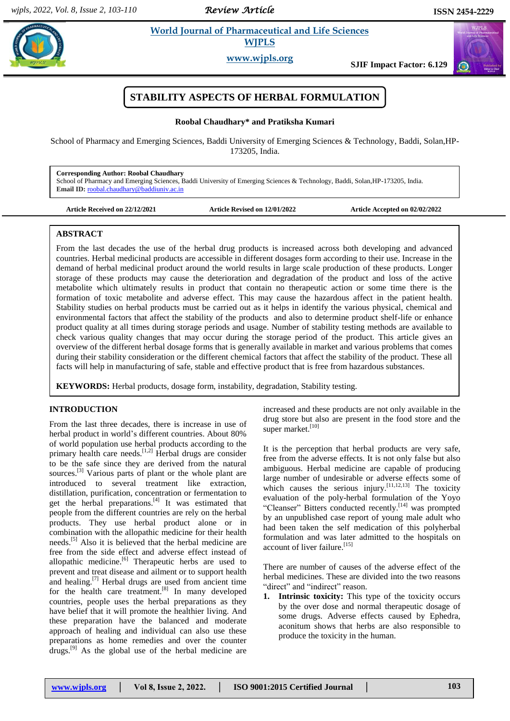*Review Article* 

 $\alpha$ 

# **Roofs 2.1** *Et al. al. 2013**et al. <b>Pharmaceutical and Life Sciences* **WJPLS**

**www.wjpls.org**

**SJIF Impact Factor: 6.129**



## **Roobal Chaudhary\* and Pratiksha Kumari**

School of Pharmacy and Emerging Sciences, Baddi University of Emerging Sciences & Technology, Baddi, Solan,HP-173205, India.

**Corresponding Author: Roobal Chaudhary**

School of Pharmacy and Emerging Sciences, Baddi University of Emerging Sciences & Technology, Baddi, Solan,HP-173205, India. **Email ID:** [roobal.chaudhary@baddiuniv.ac.in](mailto:roobal.chaudhary@baddiuniv.ac.in)

| <b>Article Received on 22/12/2021</b> |  |  |  |
|---------------------------------------|--|--|--|
|                                       |  |  |  |

**Article Received on 22/12/2021 Article Revised on 12/01/2022 Article Accepted on 02/02/2022**

# **ABSTRACT**

From the last decades the use of the herbal drug products is increased across both developing and advanced countries. Herbal medicinal products are accessible in different dosages form according to their use. Increase in the demand of herbal medicinal product around the world results in large scale production of these products. Longer storage of these products may cause the deterioration and degradation of the product and loss of the active metabolite which ultimately results in product that contain no therapeutic action or some time there is the formation of toxic metabolite and adverse effect. This may cause the hazardous affect in the patient health. Stability studies on herbal products must be carried out as it helps in identify the various physical, chemical and environmental factors that affect the stability of the products and also to determine product shelf-life or enhance product quality at all times during storage periods and usage. Number of stability testing methods are available to check various quality changes that may occur during the storage period of the product. This article gives an overview of the different herbal dosage forms that is generally available in market and various problems that comes during their stability consideration or the different chemical factors that affect the stability of the product. These all facts will help in manufacturing of safe, stable and effective product that is free from hazardous substances.

**KEYWORDS:** Herbal products, dosage form, instability, degradation, Stability testing.

# **INTRODUCTION**

From the last three decades, there is increase in use of herbal product in world"s different countries. About 80% of world population use herbal products according to the primary health care needs.<sup>[1,2]</sup> Herbal drugs are consider to be the safe since they are derived from the natural sources.<sup>[3]</sup> Various parts of plant or the whole plant are introduced to several treatment like extraction, distillation, purification, concentration or fermentation to get the herbal preparations.<sup>[4]</sup> It was estimated that people from the different countries are rely on the herbal products. They use herbal product alone or in combination with the allopathic medicine for their health needs.<sup>[5]</sup> Also it is believed that the herbal medicine are free from the side effect and adverse effect instead of allopathic medicine.<sup>[6]</sup> Therapeutic herbs are used to prevent and treat disease and ailment or to support health and healing.<sup>[7]</sup> Herbal drugs are used from ancient time for the health care treatment.<sup>[8]</sup> In many developed countries, people uses the herbal preparations as they have belief that it will promote the healthier living. And these preparation have the balanced and moderate approach of healing and individual can also use these preparations as home remedies and over the counter drugs.[9] As the global use of the herbal medicine are

increased and these products are not only available in the drug store but also are present in the food store and the super market.<sup>[10]</sup>

It is the perception that herbal products are very safe, free from the adverse effects. It is not only false but also ambiguous. Herbal medicine are capable of producing large number of undesirable or adverse effects some of which causes the serious injury.  $[11,12,13]$  The toxicity evaluation of the poly-herbal formulation of the Yoyo "Cleanser" Bitters conducted recently.<sup>[14]</sup> was prompted by an unpublished case report of young male adult who had been taken the self medication of this polyherbal formulation and was later admitted to the hospitals on account of liver failure.<sup>[15]</sup>

There are number of causes of the adverse effect of the herbal medicines. These are divided into the two reasons "direct" and "indirect" reason.

**1. Intrinsic toxicity:** This type of the toxicity occurs by the over dose and normal therapeutic dosage of some drugs. Adverse effects caused by Ephedra, aconitum shows that herbs are also responsible to produce the toxicity in the human.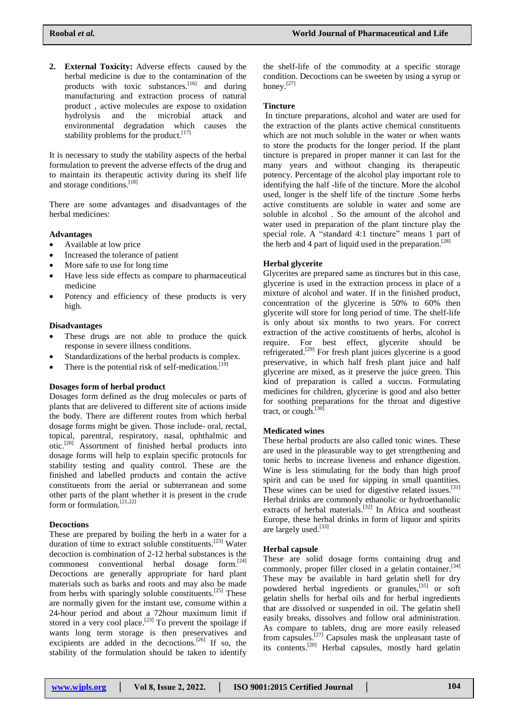**2. External Toxicity:** Adverse effects caused by the herbal medicine is due to the contamination of the products with toxic substances.  $[16]$  and during manufacturing and extraction process of natural product , active molecules are expose to oxidation hydrolysis and the microbial attack and environmental degradation which causes the stability problems for the product.<sup>[17]</sup>

It is necessary to study the stability aspects of the herbal formulation to prevent the adverse effects of the drug and to maintain its therapeutic activity during its shelf life and storage conditions. [18]

There are some advantages and disadvantages of the herbal medicines:

## **Advantages**

- Available at low price
- Increased the tolerance of patient
- More safe to use for long time
- Have less side effects as compare to pharmaceutical medicine
- Potency and efficiency of these products is very high.

#### **Disadvantages**

- These drugs are not able to produce the quick response in severe illness conditions.
- Standardizations of the herbal products is complex.
- There is the potential risk of self-medication.  $[19]$

### **Dosages form of herbal product**

Dosages form defined as the drug molecules or parts of plants that are delivered to different site of actions inside the body. There are different routes from which herbal dosage forms might be given. Those include- oral, rectal, topical, parentral, respiratory, nasal, ophthalmic and otic.[20] Assortment of finished herbal products into dosage forms will help to explain specific protocols for stability testing and quality control. These are the finished and labelled products and contain the active constituents from the aerial or subterranean and some other parts of the plant whether it is present in the crude form or formulation.<sup>[21,22]</sup>

## **Decoctions**

These are prepared by boiling the herb in a water for a duration of time to extract soluble constituents.<sup>[23]</sup> Water decoction is combination of 2-12 herbal substances is the commonest conventional herbal dosage form. [24] Decoctions are generally appropriate for hard plant materials such as barks and roots and may also be made from herbs with sparingly soluble constituents.<sup>[25]</sup> These are normally given for the instant use, consume within a 24-hour period and about a 72hour maximum limit if stored in a very cool place.<sup>[23]</sup> To prevent the spoilage if wants long term storage is then preservatives and excipients are added in the decoctions.<sup>[26]</sup> If so, the stability of the formulation should be taken to identify

the shelf-life of the commodity at a specific storage condition. Decoctions can be sweeten by using a syrup or honey.<sup>[27]</sup>

### **Tincture**

In tincture preparations, alcohol and water are used for the extraction of the plants active chemical constituents which are not much soluble in the water or when wants to store the products for the longer period. If the plant tincture is prepared in proper manner it can last for the many years and without changing its therapeutic potency. Percentage of the alcohol play important role to identifying the half -life of the tincture. More the alcohol used, longer is the shelf life of the tincture .Some herbs active constituents are soluble in water and some are soluble in alcohol . So the amount of the alcohol and water used in preparation of the plant tincture play the special role. A "standard 4:1 tincture" means 1 part of the herb and 4 part of liquid used in the preparation.<sup>[28]</sup>

### **Herbal glycerite**

Glycerites are prepared same as tinctures but in this case, glycerine is used in the extraction process in place of a mixture of alcohol and water. If in the finished product, concentration of the glycerine is 50% to 60% then glycerite will store for long period of time. The shelf-life is only about six months to two years. For correct extraction of the active constituents of herbs, alcohol is require. For best effect, glycerite should be refrigerated.<sup>[29]</sup> For fresh plant juices glycerine is a good preservative, in which half fresh plant juice and half glycerine are mixed, as it preserve the juice green. This kind of preparation is called a succus. Formulating medicines for children, glycerine is good and also better for soothing preparations for the throat and digestive tract, or cough. [30]

## **Medicated wines**

These herbal products are also called tonic wines. These are used in the pleasurable way to get strengthening and tonic herbs to increase liveness and enhance digestion. Wine is less stimulating for the body than high proof spirit and can be used for sipping in small quantities. These wines can be used for digestive related issues.<sup>[31]</sup> Herbal drinks are commonly ethanolic or hydroethanolic extracts of herbal materials.<sup>[32]</sup> In Africa and southeast Europe, these herbal drinks in form of liquor and spirits are largely used.<sup>[33]</sup>

### **Herbal capsule**

These are solid dosage forms containing drug and commonly, proper filler closed in a gelatin container.<sup>[34]</sup> These may be available in hard gelatin shell for dry powdered herbal ingredients or granules,<sup>[35]</sup> or soft gelatin shells for herbal oils and for herbal ingredients that are dissolved or suspended in oil. The gelatin shell easily breaks, dissolves and follow oral administration. As compare to tablets, drug are more easily released from capsules.<sup>[27]</sup> Capsules mask the unpleasant taste of its contents.<sup>[20]</sup> Herbal capsules, mostly hard gelatin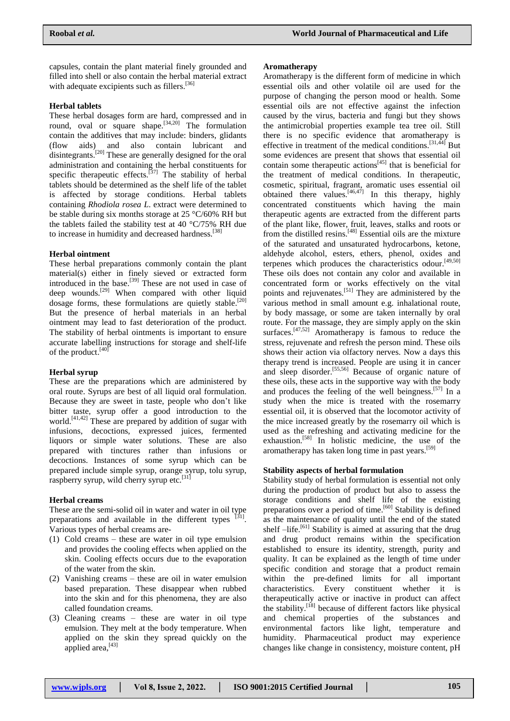capsules, contain the plant material finely grounded and filled into shell or also contain the herbal material extract with adequate excipients such as fillers.<sup>[36]</sup>

## **Herbal tablets**

These herbal dosages form are hard, compressed and in round, oval or square shape.  $[34,20]$  The formulation contain the additives that may include: binders, glidants (flow aids) and also contain lubricant and disintegrants.<sup>[20]</sup> These are generally designed for the oral administration and containing the herbal constituents for specific therapeutic effects.<sup>[37]</sup> The stability of herbal tablets should be determined as the shelf life of the tablet is affected by storage conditions. Herbal tablets containing *Rhodiola rosea L*. extract were determined to be stable during six months storage at 25 °C/60% RH but the tablets failed the stability test at 40  $\degree$ C/75% RH due to increase in humidity and decreased hardness.<sup>[38]</sup>

### **Herbal ointment**

These herbal preparations commonly contain the plant material(s) either in finely sieved or extracted form introduced in the base.<sup>[39]</sup> These are not used in case of deep wounds.<sup>[29]</sup> When compared with other liquid dosage forms, these formulations are quietly stable.<sup>[20]</sup> But the presence of herbal materials in an herbal ointment may lead to fast deterioration of the product. The stability of herbal ointments is important to ensure accurate labelling instructions for storage and shelf-life of the product.<sup>[40]</sup>

#### **Herbal syrup**

These are the preparations which are administered by oral route. Syrups are best of all liquid oral formulation. Because they are sweet in taste, people who don"t like bitter taste, syrup offer a good introduction to the world. [41,42] These are prepared by addition of sugar with infusions, decoctions, expressed juices, fermented liquors or simple water solutions. These are also prepared with tinctures rather than infusions or decoctions. Instances of some syrup which can be prepared include simple syrup, orange syrup, tolu syrup, raspberry syrup, wild cherry syrup etc.<sup>[31]</sup>

## **Herbal creams**

These are the semi-solid oil in water and water in oil type preparations and available in the different types  $[31]$ . Various types of herbal creams are-

- (1) Cold creams these are water in oil type emulsion and provides the cooling effects when applied on the skin. Cooling effects occurs due to the evaporation of the water from the skin.
- (2) Vanishing creams these are oil in water emulsion based preparation. These disappear when rubbed into the skin and for this phenomena, they are also called foundation creams.
- (3) Cleaning creams these are water in oil type emulsion. They melt at the body temperature. When applied on the skin they spread quickly on the applied area,<sup>[43]</sup>

#### **Aromatherapy**

Aromatherapy is the different form of medicine in which essential oils and other volatile oil are used for the purpose of changing the person mood or health. Some essential oils are not effective against the infection caused by the virus, bacteria and fungi but they shows the antimicrobial properties example tea tree oil. Still there is no specific evidence that aromatherapy is effective in treatment of the medical conditions.  $[31,44]$  But some evidences are present that shows that essential oil contain some therapeutic actions<sup>[45]</sup> that is beneficial for the treatment of medical conditions. In therapeutic, cosmetic, spiritual, fragrant, aromatic uses essential oil obtained there values.<sup>[46,47]</sup> In this therapy, highly concentrated constituents which having the main therapeutic agents are extracted from the different parts of the plant like, flower, fruit, leaves, stalks and roots or from the distilled resins.[48] Essential oils are the mixture of the saturated and unsaturated hydrocarbons, ketone, aldehyde alcohol, esters, ethers, phenol, oxides and terpenes which produces the characteristics odour. [49,50] These oils does not contain any color and available in concentrated form or works effectively on the vital points and rejuvenates.<sup>[51]</sup> They are administered by the various method in small amount e.g. inhalational route, by body massage, or some are taken internally by oral route. For the massage, they are simply apply on the skin surfaces.<sup>[47,52]</sup> Aromatherapy is famous to reduce the stress, rejuvenate and refresh the person mind. These oils shows their action via olfactory nerves. Now a days this therapy trend is increased. People are using it in cancer and sleep disorder. [55,56] Because of organic nature of these oils, these acts in the supportive way with the body and produces the feeling of the well beingness. [57] In a study when the mice is treated with the rosemarry essential oil, it is observed that the locomotor activity of the mice increased greatly by the rosemarry oil which is used as the refreshing and activating medicine for the exhaustion.<sup>[58]</sup> In holistic medicine, the use of the aromatherapy has taken long time in past years.<sup>[59]</sup>

#### **Stability aspects of herbal formulation**

Stability study of herbal formulation is essential not only during the production of product but also to assess the storage conditions and shelf life of the existing preparations over a period of time.<sup>[60]</sup> Stability is defined as the maintenance of quality until the end of the stated shelf -life.<sup>[61]</sup> Stability is aimed at assuring that the drug and drug product remains within the specification established to ensure its identity, strength, purity and quality. It can be explained as the length of time under specific condition and storage that a product remain within the pre-defined limits for all important characteristics. Every constituent whether it is therapeutically active or inactive in product can affect the stability.<sup>[18]</sup> because of different factors like physical and chemical properties of the substances and environmental factors like light, temperature and humidity. Pharmaceutical product may experience changes like change in consistency, moisture content, pH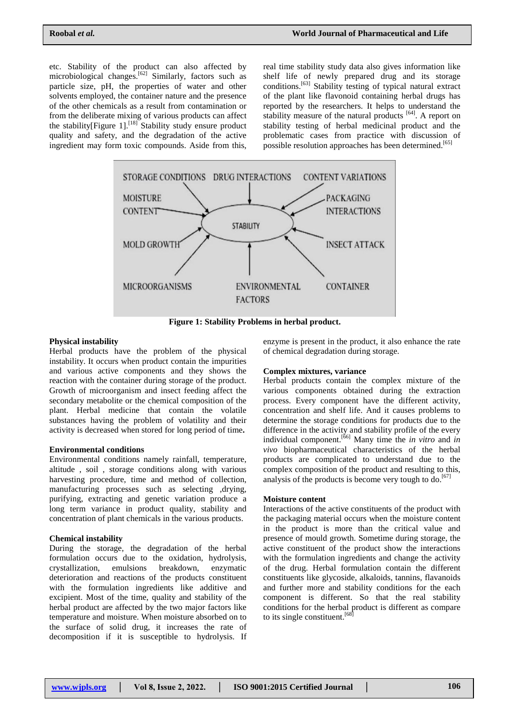etc. Stability of the product can also affected by microbiological changes.<sup>[62]</sup> Similarly, factors such as particle size, pH, the properties of water and other solvents employed, the container nature and the presence of the other chemicals as a result from contamination or from the deliberate mixing of various products can affect the stability [Figure 1].<sup>[18]</sup> Stability study ensure product quality and safety, and the degradation of the active ingredient may form toxic compounds. Aside from this,

real time stability study data also gives information like shelf life of newly prepared drug and its storage conditions. [63] Stability testing of typical natural extract of the plant like flavonoid containing herbal drugs has reported by the researchers. It helps to understand the stability measure of the natural products <sup>[64]</sup>. A report on stability testing of herbal medicinal product and the problematic cases from practice with discussion of possible resolution approaches has been determined.<sup>[65]</sup>



**Figure 1: Stability Problems in herbal product.**

## **Physical instability**

Herbal products have the problem of the physical instability. It occurs when product contain the impurities and various active components and they shows the reaction with the container during storage of the product. Growth of microorganism and insect feeding affect the secondary metabolite or the chemical composition of the plant. Herbal medicine that contain the volatile substances having the problem of volatility and their activity is decreased when stored for long period of time**.**

## **Environmental conditions**

Environmental conditions namely rainfall, temperature, altitude , soil , storage conditions along with various harvesting procedure, time and method of collection, manufacturing processes such as selecting ,drying, purifying, extracting and genetic variation produce a long term variance in product quality, stability and concentration of plant chemicals in the various products.

# **Chemical instability**

During the storage, the degradation of the herbal formulation occurs due to the oxidation, hydrolysis, crystallization, emulsions breakdown, enzymatic deterioration and reactions of the products constituent with the formulation ingredients like additive and excipient. Most of the time, quality and stability of the herbal product are affected by the two major factors like temperature and moisture. When moisture absorbed on to the surface of solid drug, it increases the rate of decomposition if it is susceptible to hydrolysis. If enzyme is present in the product, it also enhance the rate of chemical degradation during storage.

## **Complex mixtures, variance**

Herbal products contain the complex mixture of the various components obtained during the extraction process. Every component have the different activity, concentration and shelf life. And it causes problems to determine the storage conditions for products due to the difference in the activity and stability profile of the every individual component. [66] Many time the *in vitro* and *in vivo* biopharmaceutical characteristics of the herbal products are complicated to understand due to the complex composition of the product and resulting to this, analysis of the products is become very tough to do. [67]

## **Moisture content**

Interactions of the active constituents of the product with the packaging material occurs when the moisture content in the product is more than the critical value and presence of mould growth. Sometime during storage, the active constituent of the product show the interactions with the formulation ingredients and change the activity of the drug. Herbal formulation contain the different constituents like glycoside, alkaloids, tannins, flavanoids and further more and stability conditions for the each component is different. So that the real stability conditions for the herbal product is different as compare to its single constituent.<sup>[68]</sup>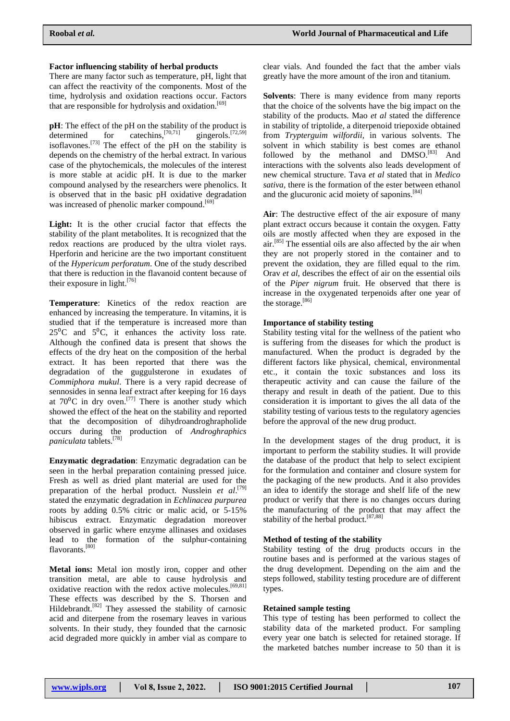# **Factor influencing stability of herbal products**

There are many factor such as temperature, pH, light that can affect the reactivity of the components. Most of the time, hydrolysis and oxidation reactions occur. Factors that are responsible for hydrolysis and oxidation.<sup>[69]</sup>

**pH**: The effect of the pH on the stability of the product is  $d$  determined for catechins.<sup>[70,71]</sup> gingerols. $[72,59]$ isoflavones.<sup>[73]</sup> The effect of the pH on the stability is depends on the chemistry of the herbal extract. In various case of the phytochemicals, the molecules of the interest is more stable at acidic pH. It is due to the marker compound analysed by the researchers were phenolics. It is observed that in the basic pH oxidative degradation was increased of phenolic marker compound.<sup>[69]</sup>

Light: It is the other crucial factor that effects the stability of the plant metabolites. It is recognized that the redox reactions are produced by the ultra violet rays. Hperforin and hericine are the two important constituent of the *Hypericum perforatum*. One of the study described that there is reduction in the flavanoid content because of their exposure in light.<sup>[76]</sup>

**Temperature**: Kinetics of the redox reaction are enhanced by increasing the temperature. In vitamins, it is studied that if the temperature is increased more than  $25^{\circ}$ C and  $5^{\circ}$ C, it enhances the activity loss rate. Although the confined data is present that shows the effects of the dry heat on the composition of the herbal extract. It has been reported that there was the degradation of the guggulsterone in exudates of *Commiphora mukul*. There is a very rapid decrease of sennosides in senna leaf extract after keeping for 16 days at  $70^{\circ}$ C in dry oven.<sup>[77]</sup> There is another study which showed the effect of the heat on the stability and reported that the decomposition of dihydroandroghrapholide occurs during the production of *Androghraphics paniculata* tablets. [78]

**Enzymatic degradation**: Enzymatic degradation can be seen in the herbal preparation containing pressed juice. Fresh as well as dried plant material are used for the preparation of the herbal product. Nusslein *et al*. [79] stated the enzymatic degradation in *Echlinacea purpurea* roots by adding 0.5% citric or malic acid, or 5-15% hibiscus extract. Enzymatic degradation moreover observed in garlic where enzyme allinases and oxidases lead to the formation of the sulphur-containing flavorants.<sup>[80]</sup>

**Metal ions:** Metal ion mostly iron, copper and other transition metal, are able to cause hydrolysis and oxidative reaction with the redox active molecules.<sup>[69,81]</sup> These effects was described by the S. Thorsen and Hildebrandt.<sup>[82]</sup> They assessed the stability of carnosic acid and diterpene from the rosemary leaves in various solvents. In their study, they founded that the carnosic acid degraded more quickly in amber vial as compare to

clear vials. And founded the fact that the amber vials greatly have the more amount of the iron and titanium.

**Solvents**: There is many evidence from many reports that the choice of the solvents have the big impact on the stability of the products. Mao *et al* stated the difference in stability of triptolide, a diterpenoid triepoxide obtained from *Trypterguim wilfordii,* in various solvents. The solvent in which stability is best comes are ethanol followed by the methanol and DMSO.<sup>[83]</sup> And interactions with the solvents also leads development of new chemical structure. Tava *et al* stated that in *Medico sativa,* there is the formation of the ester between ethanol and the glucuronic acid moiety of saponins.<sup>[84]</sup>

**Air**: The destructive effect of the air exposure of many plant extract occurs because it contain the oxygen. Fatty oils are mostly affected when they are exposed in the air. [85] The essential oils are also affected by the air when they are not properly stored in the container and to prevent the oxidation, they are filled equal to the rim. Orav *et al*, describes the effect of air on the essential oils of the *Piper nigrum* fruit. He observed that there is increase in the oxygenated terpenoids after one year of the storage.<sup>[86]</sup>

# **Importance of stability testing**

Stability testing vital for the wellness of the patient who is suffering from the diseases for which the product is manufactured. When the product is degraded by the different factors like physical, chemical, environmental etc., it contain the toxic substances and loss its therapeutic activity and can cause the failure of the therapy and result in death of the patient. Due to this consideration it is important to gives the all data of the stability testing of various tests to the regulatory agencies before the approval of the new drug product.

In the development stages of the drug product, it is important to perform the stability studies. It will provide the database of the product that help to select excipient for the formulation and container and closure system for the packaging of the new products. And it also provides an idea to identify the storage and shelf life of the new product or verify that there is no changes occurs during the manufacturing of the product that may affect the stability of the herbal product. [87,88]

## **Method of testing of the stability**

Stability testing of the drug products occurs in the routine bases and is performed at the various stages of the drug development. Depending on the aim and the steps followed, stability testing procedure are of different types.

## **Retained sample testing**

This type of testing has been performed to collect the stability data of the marketed product. For sampling every year one batch is selected for retained storage. If the marketed batches number increase to 50 than it is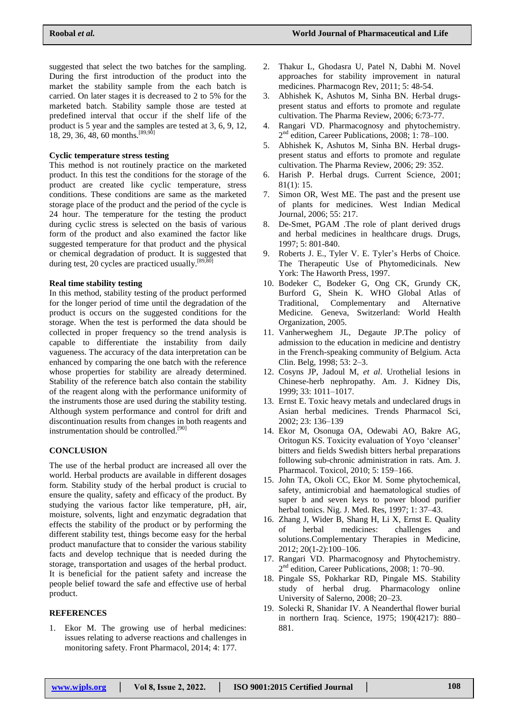suggested that select the two batches for the sampling. During the first introduction of the product into the market the stability sample from the each batch is carried. On later stages it is decreased to 2 to 5% for the marketed batch. Stability sample those are tested at predefined interval that occur if the shelf life of the product is 5 year and the samples are tested at 3, 6, 9, 12, 18, 29, 36, 48, 60 months.  $[89,90]$ 

### **Cyclic temperature stress testing**

This method is not routinely practice on the marketed product. In this test the conditions for the storage of the product are created like cyclic temperature, stress conditions. These conditions are same as the marketed storage place of the product and the period of the cycle is 24 hour. The temperature for the testing the product during cyclic stress is selected on the basis of various form of the product and also examined the factor like suggested temperature for that product and the physical or chemical degradation of product. It is suggested that during test, 20 cycles are practiced usually.  $[89, \overline{80}]$ 

### **Real time stability testing**

In this method, stability testing of the product performed for the longer period of time until the degradation of the product is occurs on the suggested conditions for the storage. When the test is performed the data should be collected in proper frequency so the trend analysis is capable to differentiate the instability from daily vagueness. The accuracy of the data interpretation can be enhanced by comparing the one batch with the reference whose properties for stability are already determined. Stability of the reference batch also contain the stability of the reagent along with the performance uniformity of the instruments those are used during the stability testing. Although system performance and control for drift and discontinuation results from changes in both reagents and instrumentation should be controlled.<sup>[90]</sup>

## **CONCLUSION**

The use of the herbal product are increased all over the world. Herbal products are available in different dosages form. Stability study of the herbal product is crucial to ensure the quality, safety and efficacy of the product. By studying the various factor like temperature, pH, air, moisture, solvents, light and enzymatic degradation that effects the stability of the product or by performing the different stability test, things become easy for the herbal product manufacture that to consider the various stability facts and develop technique that is needed during the storage, transportation and usages of the herbal product. It is beneficial for the patient safety and increase the people belief toward the safe and effective use of herbal product.

# **REFERENCES**

1. Ekor M. The growing use of herbal medicines: issues relating to adverse reactions and challenges in monitoring safety. Front Pharmacol, 2014; 4: 177.

- 2. Thakur L, Ghodasra U, Patel N, Dabhi M. Novel approaches for stability improvement in natural medicines. Pharmacogn Rev, 2011; 5: 48-54.
- 3. Abhishek K, Ashutos M, Sinha BN. Herbal drugspresent status and efforts to promote and regulate cultivation. The Pharma Review, 2006; 6:73-77.
- 4. Rangari VD. Pharmacognosy and phytochemistry. 2<sup>nd</sup> edition, Career Publications, 2008; 1: 78-100.
- 5. Abhishek K, Ashutos M, Sinha BN. Herbal drugspresent status and efforts to promote and regulate cultivation. The Pharma Review, 2006; 29: 352.
- 6. Harish P. Herbal drugs. Current Science, 2001;  $81(1) \cdot 15$
- 7. Simon OR, West ME. The past and the present use of plants for medicines. West Indian Medical Journal, 2006; 55: 217.
- 8. De-Smet, PGAM .The role of plant derived drugs and herbal medicines in healthcare drugs. Drugs, 1997; 5: 801-840.
- 9. Roberts J. E., Tyler V. E. Tyler"s Herbs of Choice*.* The Therapeutic Use of Phytomedicinals*.* New York: The Haworth Press, 1997.
- 10. Bodeker C, Bodeker G, Ong CK, Grundy CK, Burford G, Shein K. WHO Global Atlas of Traditional, Complementary and Alternative Medicine*.* Geneva, Switzerland: World Health Organization, 2005.
- 11. Vanherweghem JL, Degaute JP.The policy of admission to the education in medicine and dentistry in the French-speaking community of Belgium. Acta Clin. Belg, 1998; 53: 2–3.
- 12. Cosyns JP, Jadoul M, *et al*. Urothelial lesions in Chinese-herb nephropathy. Am. J. Kidney Dis, 1999; 33: 1011–1017.
- 13. Ernst E. Toxic heavy metals and undeclared drugs in Asian herbal medicines. Trends Pharmacol Sci, 2002; 23: 136–139
- 14. Ekor M, Osonuga OA, Odewabi AO, Bakre AG, Oritogun KS. Toxicity evaluation of Yoyo "cleanser" bitters and fields Swedish bitters herbal preparations following sub-chronic administration in rats. Am. J. Pharmacol. Toxicol, 2010; 5: 159–166.
- 15. John TA, Okoli CC, Ekor M. Some phytochemical, safety, antimicrobial and haematological studies of super b and seven keys to power blood purifier herbal tonics. Nig. J. Med. Res, 1997; 1: 37–43.
- 16. Zhang J, Wider B, Shang H, Li X, Ernst E. Quality of herbal medicines: challenges and solutions.Complementary Therapies in Medicine, 2012; 20(1-2):100–106.
- 17. Rangari VD. Pharmacognosy and Phytochemistry. 2 nd edition, Career Publications, 2008; 1: 70–90.
- 18. Pingale SS, Pokharkar RD, Pingale MS. Stability study of herbal drug. Pharmacology online University of Salerno, 2008; 20–23.
- 19. Solecki R, Shanidar IV. A Neanderthal flower burial in northern Iraq. Science, 1975; 190(4217): 880– 881.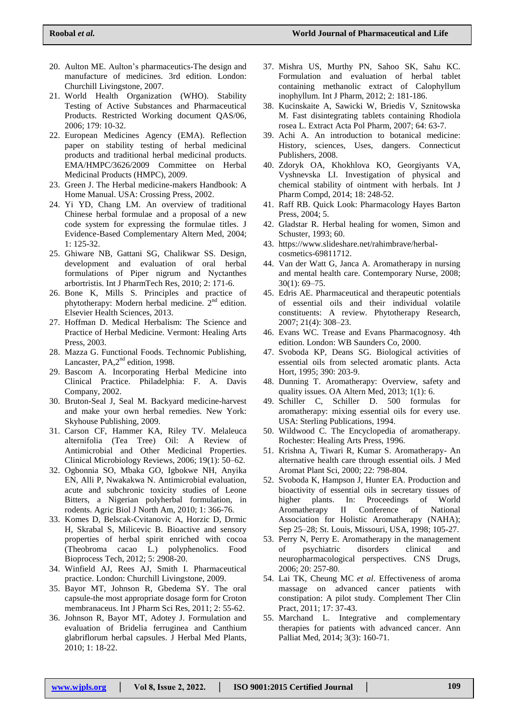- 20. Aulton ME. Aulton"s pharmaceutics-The design and manufacture of medicines. 3rd edition. London: Churchill Livingstone, 2007.
- 21. World Health Organization (WHO). Stability Testing of Active Substances and Pharmaceutical Products. Restricted Working document QAS/06, 2006; 179: 10-32.
- 22. European Medicines Agency (EMA). Reflection paper on stability testing of herbal medicinal products and traditional herbal medicinal products. EMA/HMPC/3626/2009 Committee on Herbal Medicinal Products (HMPC), 2009.
- 23. Green J. The Herbal medicine-makers Handbook: A Home Manual. USA: Crossing Press, 2002.
- 24. Yi YD, Chang LM. An overview of traditional Chinese herbal formulae and a proposal of a new code system for expressing the formulae titles. J Evidence-Based Complementary Altern Med, 2004; 1: 125-32.
- 25. Ghiware NB, Gattani SG, Chalikwar SS. Design, development and evaluation of oral herbal formulations of Piper nigrum and Nyctanthes arbortristis. Int J PharmTech Res, 2010; 2: 171-6.
- 26. Bone K, Mills S. Principles and practice of phytotherapy: Modern herbal medicine. 2<sup>nd</sup> edition. Elsevier Health Sciences, 2013.
- 27. Hoffman D. Medical Herbalism: The Science and Practice of Herbal Medicine. Vermont: Healing Arts Press, 2003.
- 28. Mazza G. Functional Foods. Technomic Publishing, Lancaster, PA,2<sup>nd</sup> edition, 1998.
- 29. Bascom A. Incorporating Herbal Medicine into Clinical Practice. Philadelphia: F. A. Davis Company, 2002.
- 30. Bruton-Seal J, Seal M. Backyard medicine-harvest and make your own herbal remedies. New York: Skyhouse Publishing, 2009.
- 31. Carson CF, Hammer KA, Riley TV. Melaleuca alternifolia (Tea Tree) Oil: A Review of Antimicrobial and Other Medicinal Properties. Clinical Microbiology Reviews, 2006; 19(1): 50–62.
- 32. Ogbonnia SO, Mbaka GO, Igbokwe NH, Anyika EN, Alli P, Nwakakwa N. Antimicrobial evaluation, acute and subchronic toxicity studies of Leone Bitters, a Nigerian polyherbal formulation, in rodents. Agric Biol J North Am, 2010; 1: 366-76.
- 33. Komes D, Belscak-Cvitanovic A, Horzic D, Drmic H, Skrabal S, Milicevic B. Bioactive and sensory properties of herbal spirit enriched with cocoa (Theobroma cacao L.) polyphenolics. Food Bioprocess Tech, 2012; 5: 2908-20.
- 34. Winfield AJ, Rees AJ, Smith I. Pharmaceutical practice. London: Churchill Livingstone, 2009.
- 35. Bayor MT, Johnson R, Gbedema SY. The oral capsule-the most appropriate dosage form for Croton membranaceus. Int J Pharm Sci Res, 2011; 2: 55-62.
- 36. Johnson R, Bayor MT, Adotey J. Formulation and evaluation of Bridelia ferruginea and Canthium glabriflorum herbal capsules. J Herbal Med Plants, 2010; 1: 18-22.
- 37. Mishra US, Murthy PN, Sahoo SK, Sahu KC. Formulation and evaluation of herbal tablet containing methanolic extract of Calophyllum inophyllum. Int J Pharm, 2012; 2: 181-186.
- 38. Kucinskaite A, Sawicki W, Briedis V, Sznitowska M. Fast disintegrating tablets containing Rhodiola rosea L. Extract Acta Pol Pharm, 2007; 64: 63-7.
- 39. Achi A. An introduction to botanical medicine: History, sciences, Uses, dangers. Connecticut Publishers, 2008.
- 40. Zdoryk OA, Khokhlova KO, Georgiyants VA, Vyshnevska LI. Investigation of physical and chemical stability of ointment with herbals. Int J Pharm Compd, 2014; 18: 248-52.
- 41. Raff RB. Quick Look: Pharmacology Hayes Barton Press, 2004; 5.
- 42. Gladstar R. Herbal healing for women, Simon and Schuster, 1993; 60.
- 43. [https://www.slideshare.net/rahimbrave/herbal](https://www.slideshare.net/rahimbrave/herbal-cosmetics-69811712)[cosmetics-69811712.](https://www.slideshare.net/rahimbrave/herbal-cosmetics-69811712)
- 44. Van der Watt G, Janca A. Aromatherapy in nursing and mental health care. Contemporary Nurse, 2008; 30(1): 69–75.
- 45. Edris AE. Pharmaceutical and therapeutic potentials of essential oils and their individual volatile constituents: A review. Phytotherapy Research, 2007; 21(4): 308–23.
- 46. Evans WC. Trease and Evans Pharmacognosy. 4th edition. London: WB Saunders Co, 2000.
- 47. Svoboda KP, Deans SG. Biological activities of essential oils from selected aromatic plants. Acta Hort, 1995; 390: 203-9.
- 48. Dunning T. Aromatherapy: Overview, safety and quality issues. OA Altern Med, 2013; 1(1): 6.
- 49. Schiller C, Schiller D. 500 formulas for aromatherapy: mixing essential oils for every use. USA: Sterling Publications, 1994.
- 50. Wildwood C. The Encyclopedia of aromatherapy. Rochester: Healing Arts Press, 1996.
- 51. Krishna A, Tiwari R, Kumar S. Aromatherapy- An alternative health care through essential oils. J Med Aromat Plant Sci, 2000; 22: 798-804.
- 52. Svoboda K, Hampson J, Hunter EA. Production and bioactivity of essential oils in secretary tissues of higher plants. In: Proceedings of World Aromatherapy II Conference of National Association for Holistic Aromatherapy (NAHA); Sep 25–28; St. Louis, Missouri, USA, 1998; 105-27.
- 53. Perry N, Perry E. Aromatherapy in the management of psychiatric disorders clinical and neuropharmacological perspectives. CNS Drugs, 2006; 20: 257-80.
- 54. Lai TK, Cheung MC *et al*. Effectiveness of aroma massage on advanced cancer patients with constipation: A pilot study. Complement Ther Clin Pract, 2011; 17: 37-43.
- 55. Marchand L. Integrative and complementary therapies for patients with advanced cancer. Ann Palliat Med, 2014; 3(3): 160-71.